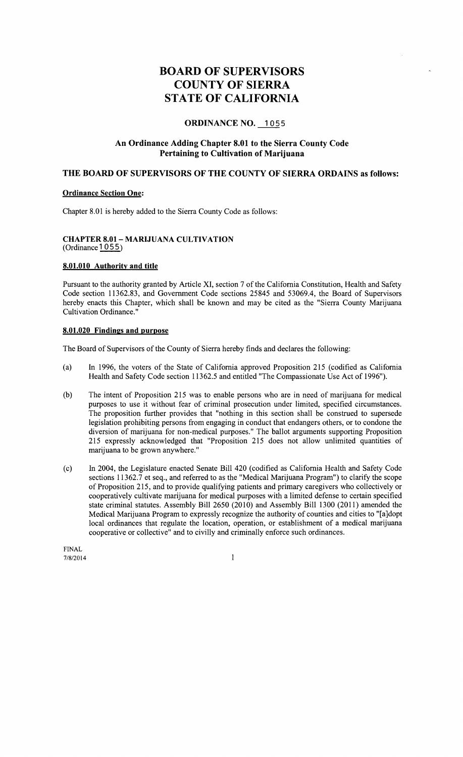# **BOARD OF SUPERVISORS COUNTY OF SIERRA STATE OF CALIFORNIA**

# **ORDINANCE NO. 1055**

# **An Ordinance Adding Chapter 8.01 to the Sierra County Code Pertaining to Cultivation of Marijuana**

# **THE BOARD OF SUPERVISORS OF THE COUNTY OF SIERRA ORDAINS as follows:**

# **Ordinance Section One:**

Chapter 8.01 is hereby added to the Sierra County Code as follows:

# **CHAPTER 8.01 - MARIJUANA CULTIVATION**  (Ordinance 1 0 5 5)

#### **8.01.010 Authority and title**

Pursuant to the authority granted by Article XI, section 7 of the California Constitution, Health and Safety Code section 11362.83, and Government Code sections 25845 and 53069.4, the Board of Supervisors hereby enacts this Chapter, which shall be known and may be cited as the "Sierra County Marijuana Cultivation Ordinance."

#### **8.01.020 Findings and purpose**

The Board of Supervisors of the County of Sierra hereby finds and declares the following:

- (a) In 1996, the voters of the State of California approved Proposition 215 (codified as California Health and Safety Code section 11362.5 and entitled "The Compassionate Use Act of 1996").
- (b) The intent of Proposition 215 was to enable persons who are in need of marijuana for medical purposes to use it without fear of criminal prosecution under limited, specified circumstances. The proposition further provides that "nothing in this section shall be construed to supersede legislation prohibiting persons from engaging in conduct that endangers others, or to condone the diversion of marijuana for non-medical purposes." The ballot arguments supporting Proposition 215 expressly acknowledged that "Proposition 215 does not allow unlimited quantities of marijuana to be grown anywhere."
- (c) In 2004, the Legislature enacted Senate Bill 420 (codified as California Health and Safety Code sections 11362.7 et seq., and referred to as the "Medical Marijuana Program") to clarify the scope of Proposition 215, and to provide qualifying patients and primary caregivers who collectively or cooperatively cultivate marijuana for medical purposes with a limited defense to certain specified state criminal statutes. Assembly Bill 2650 (2010) and Assembly Bill 1300 (2011) amended the Medical Marijuana Program to expressly recognize the authority of counties and cities to "[a]dopt local ordinances that regulate the location, operation, or establishment of a medical marijuana cooperative or collective" and to civilly and criminally enforce such ordinances.

FINAL 7/8/2014

 $\mathbf{1}$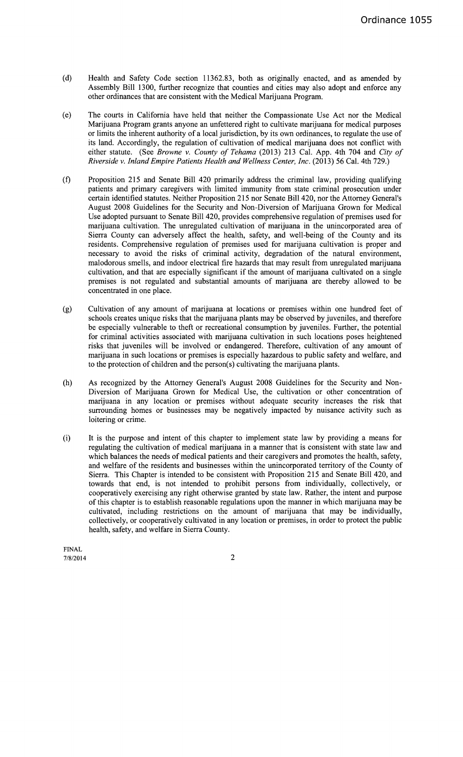- (d) Health and Safety Code section 11362.83, both as originally enacted, and as amended by Assembly Bill 1300, further recognize that counties and cities may also adopt and enforce any other ordinances that are consistent with the Medical Marijuana Program.
- (e) The courts in California have held that neither the Compassionate Use Act nor the Medical Marijuana Program grants anyone an unfettered right to cultivate marijuana for medical purposes or limits the inherent authority of a local jurisdiction, by its own ordinances, to regulate the use of its land. Accordingly, the regulation of cultivation of medical marijuana does not conflict with either statute. (See *Browne* v. *County of Tehama* (2013) 213 Cal. App. 4th 704 and *City of Riverside* v. *Inland Empire Patients Health and Wellness Center, Inc.* (2013) 56 Cal. 4th 729.)
- (f) Proposition 215 and Senate Bill 420 primarily address the criminal law, providing qualifying patients and primary caregivers with limited immunity from state criminal prosecution under certain identified statutes. Neither Proposition 215 nor Senate Bill 420, nor the Attorney General's August 2008 Guidelines for the Security and Non-Diversion of Marijuana Grown for Medical Use adopted pursuant to Senate Bill 420, provides comprehensive regulation of premises used for marijuana cultivation. The unregulated cultivation of marijuana in the unincorporated area of Sierra County can adversely affect the health, safety, and well-being of the County and its residents. Comprehensive regulation of premises used for marijuana cultivation is proper and necessary to avoid the risks of criminal activity, degradation of the natural environment, malodorous smells, and indoor electrical fire hazards that may result from unregulated marijuana cultivation, and that are especially significant if the amount of marijuana cultivated on a single premises is not regulated and substantial amounts of marijuana are thereby allowed to be concentrated in one place.
- (g) Cultivation of any amount of marijuana at locations or premises within one hundred feet of schools creates unique risks that the marijuana plants may be observed by juveniles, and therefore be especially vulnerable to theft or recreational consumption by juveniles. Further, the potential for criminal activities associated with marijuana cultivation in such locations poses heightened risks that juveniles will be involved or endangered. Therefore, cultivation of any amount of marijuana in such locations or premises is especially hazardous to public safety and welfare, and to the protection of children and the person(s) cultivating the marijuana plants.
- (h) As recognized by the Attorney General's August 2008 Guidelines for the Security and Non-Diversion of Marijuana Grown for Medical Use, the cultivation or other concentration of marijuana in any location or premises without adequate security increases the risk that surrounding homes or businesses may be negatively impacted by nuisance activity such as loitering or crime.
- (i) It is the purpose and intent of this chapter to implement state law by providing a means for regulating the cultivation of medical marijuana in a manner that is consistent with state law and which balances the needs of medical patients and their caregivers and promotes the health, safety, and welfare of the residents and businesses within the unincorporated territory of the County of Sierra. This Chapter is intended to be consistent with Proposition 215 and Senate Bill 420, and towards that end, is not intended to prohibit persons from individually, collectively, or cooperatively exercising any right otherwise granted by state law. Rather, the intent and purpose of this chapter is to establish reasonable regulations upon the manner in which marijuana may be cultivated, including restrictions on the amount of marijuana that may be individually, collectively, or cooperatively cultivated in any location or premises, in order to protect the public health, safety, and welfare in Sierra County.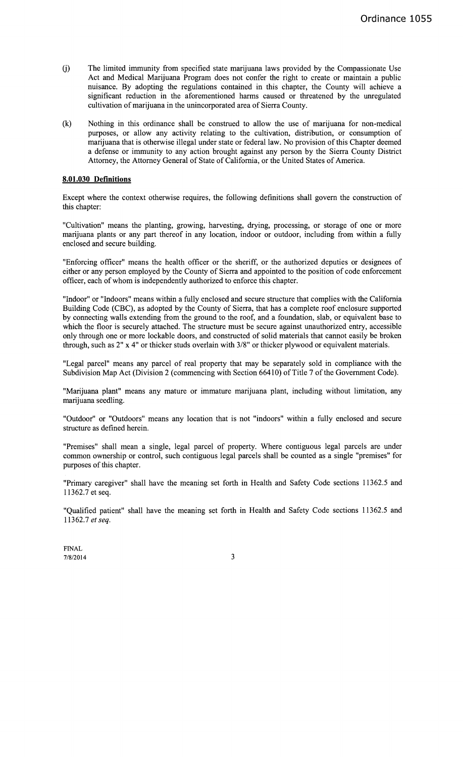- (i) The limited immunity from specified state marijuana laws provided by the Compassionate Use Act and Medical Marijuana Program does not confer the right to create or maintain a public nuisance. By adopting the regulations contained in this chapter, the County will achieve a significant reduction in the aforementioned harms caused or threatened by the unregulated cultivation of marijuana in the unincorporated area of Sierra County.
- (k) Nothing in this ordinance shall be construed to allow the use of marijuana for non-medical purposes, or allow any activity relating to the cultivation, distribution, or consumption of marijuana that is otherwise illegal under state or federal law. No provision of this Chapter deemed a defense or immunity to any action brought against any person by the Sierra County District Attorney, the Attorney General of State of California, or the United States of America.

# **8.01.030 Definitions**

Except where the context otherwise requires, the following definitions shall govern the construction of this chapter:

"Cultivation" means the planting, growing, harvesting, drying, processing, or storage of one or more marijuana plants or any part thereof in any location, indoor or outdoor, including from within a fully enclosed and secure building.

"Enforcing officer" means the health officer or the sheriff, or the authorized deputies or designees of either or any person employed by the County of Sierra and appointed to the position of code enforcement officer, each of whom is independently authorized to enforce this chapter.

"Indoor" or "Indoors" means within a fully enclosed and secure structure that complies with the California Building Code (CBC), as adopted by the County of Sierra, that has a complete roof enclosure supported by connecting walls extending from the ground to the roof, and a foundation, slab, or equivalent base to which the floor is securely attached. The structure must be secure against unauthorized entry, accessible only through one or more lockable doors, and constructed of solid materials that cannot easily be broken through, such as 2" x 4" or thicker studs overlain with 3/8" or thicker plywood or equivalent materials.

"Legal parcel" means any parcel of real property that may be separately sold in compliance with the Subdivision Map Act (Division 2 (commencing with Section 66410) of Title 7 of the Government Code).

"Marijuana plant" means any mature or immature marijuana plant, including without limitation, any marijuana seedling.

"Outdoor" or "Outdoors" means any location that is not "indoors" within a fully enclosed and secure structure as defined herein.

"Premises" shall mean a single, legal parcel of property. Where contiguous legal parcels are under common ownership or control, such contiguous legal parcels shall be counted as a single "premises" for purposes of this chapter.

"Primary caregiver" shall have the meaning set forth in Health and Safety Code sections 11362.5 and 11362.7 et seq.

"Qualified patient" shall have the meaning set forth in Health and Safety Code sections 11362.5 and 11362.7 *et seq.*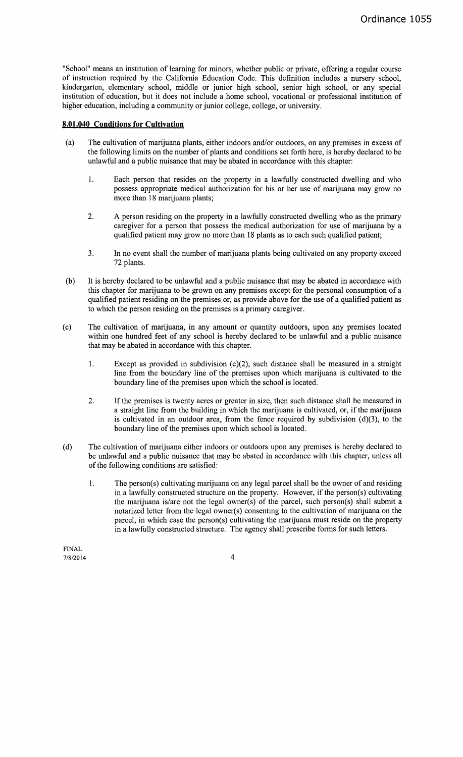"School" means an institution of learning for minors, whether public or private, offering a regular course of instruction required by the California Education Code. This definition includes a nursery school, kindergarten, elementary school, middle or junior high school, senior high school, or any special institution of education, but it does not include a home school, vocational or professional institution of higher education, including a community or junior college, college, or university.

# **8.01.040 Conditions for Cultivation**

- (a) The cultivation of marijuana plants, either indoors and/or outdoors, on any premises in excess of the following limits on the number of plants and conditions set forth here, is hereby declared to be unlawful and a public nuisance that may be abated in accordance with this chapter:
	- 1. Each person that resides on the property in a lawfully constructed dwelling and who possess appropriate medical authorization for his or her use of marijuana may grow no more than 18 marijuana plants;
	- 2. A person residing on the property in a lawfully constructed dwelling who as the primary caregiver for a person that possess the medical authorization for use of marijuana by a qualified patient may grow no more than 18 plants as to each such qualified patient;
	- 3. In no event shall the number of marijuana plants being cultivated on any property exceed 72 plants.
- (b) It is hereby declared to be unlawful and a public nuisance that may be abated in accordance with this chapter for marijuana to be grown on any premises except for the personal consumption of a qualified patient residing on the premises or, as provide above for the use of a qualified patient as to which the person residing on the premises is a primary caregiver.
- (c) The cultivation of marijuana, in any amount or quantity outdoors, upon any premises located within one hundred feet of any school is hereby declared to be unlawful and a public nuisance that may be abated in accordance with this chapter.
	- 1. Except as provided in subdivision  $(c)(2)$ , such distance shall be measured in a straight line from the boundary line of the premises upon which marijuana is cultivated to the boundary line of the premises upon which the school is located.
	- 2. If the premises is twenty acres or greater in size, then such distance shall be measured in a straight line from the building in which the marijuana is cultivated, or, if the marijuana is cultivated in an outdoor area, from the fence required by subdivision (d)(3), to the boundary line of the premises upon which school is located.
- (d) The cultivation of marijuana either indoors or outdoors upon any premises is hereby declared to be unlawful and a public nuisance that may be abated in accordance with this chapter, unless all of the following conditions are satisfied:
	- 1. The person(s) cultivating marijuana on any legal parcel shall be the owner of and residing in a lawfully constructed structure on the property. However, if the person(s) cultivating the marijuana is/are not the legal owner(s) of the parcel, such person(s) shall submit a notarized letter from the legal owner(s) consenting to the cultivation of marijuana on the parcel, in which case the person(s) cultivating the marijuana must reside on the property in a lawfully constructed structure. The agency shall prescribe forms for such letters.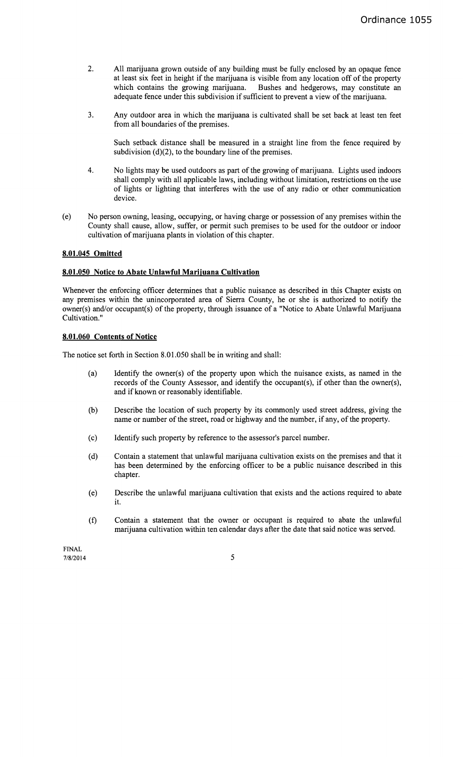- 2. All marijuana grown outside of any building must be fully enclosed by an opaque fence at least six feet in height if the marijuana is visible from any location off of the property which contains the growing marijuana. Bushes and hedgerows, may constitute an Bushes and hedgerows, may constitute an adequate fence under this subdivision if sufficient to prevent a view of the marijuana.
- 3. Any outdoor area in which the marijuana is cultivated shall be set back at least ten feet from all boundaries of the premises.

Such setback distance shall be measured in a straight line from the fence required by subdivision  $(d)(2)$ , to the boundary line of the premises.

- 4. No lights may be used outdoors as part of the growing of marijuana. Lights used indoors shall comply with all applicable laws, including without limitation, restrictions on the use of lights or lighting that interferes with the use of any radio or other communication device.
- (e) No person owning, leasing, occupying, or having charge or possession of any premises within the County shall cause, allow, suffer, or permit such premises to be used for the outdoor or indoor cultivation of marijuana plants in violation of this chapter.

# **8.01.045 Omitted**

# **8.01.050 Notice to Abate Unlawful Marijuana Cultivation**

Whenever the enforcing officer determines that a public nuisance as described in this Chapter exists on any premises within the unincorporated area of Sierra County, he or she is authorized to notify the owner(s) and/or occupant(s) of the property, through issuance of a "Notice to Abate Unlawful Marijuana Cultivation."

# **8.01.060 Contents of Notice**

The notice set forth in Section 8.01.050 shall be in writing and shall:

- (a) Identify the owner(s) of the property upon which the nuisance exists, as named in the records of the County Assessor, and identify the occupant(s), if other than the owner(s), and if known or reasonably identifiable.
- (b) Describe the location of such property by its commonly used street address, giving the name or number of the street, road or highway and the number, if any, of the property.
- (c) Identify such property by reference to the assessor's parcel number.
- (d) Contain a statement that unlawful marijuana cultivation exists on the premises and that it has been determined by the enforcing officer to be a public nuisance described in this chapter.
- (e) Describe the unlawful marijuana cultivation that exists and the actions required to abate it.
- (f) Contain a statement that the owner or occupant is required to abate the unlawful marijuana cultivation within ten calendar days after the date that said notice was served.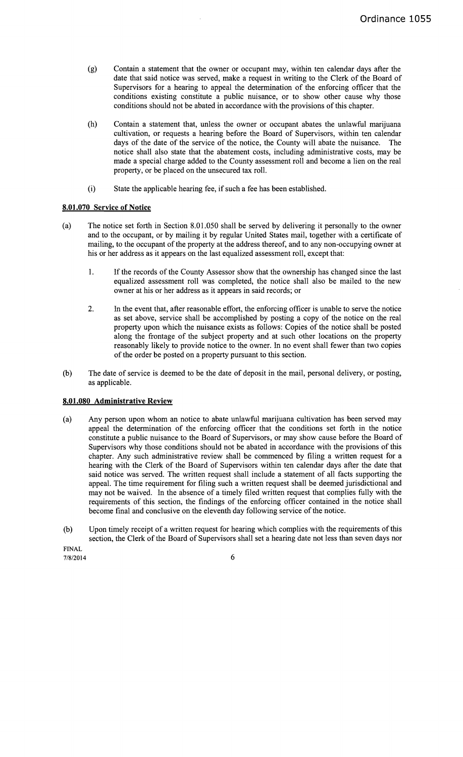- (g) Contain a statement that the owner or occupant may, within ten calendar days after the date that said notice was served, make a request in writing to the Clerk of the Board of Supervisors for a hearing to appeal the determination of the enforcing officer that the conditions existing constitute a public nuisance, or to show other cause why those conditions should not be abated in accordance with the provisions of this chapter.
- (h) Contain a statement that, unless the owner or occupant abates the unlawful marijuana cultivation, or requests a hearing before the Board of Supervisors, within ten calendar days of the date of the service of the notice, the County will abate the nuisance. The notice shall also state that the abatement costs, including administrative costs, may be made a special charge added to the County assessment roll and become a lien on the real property, or be placed on the unsecured tax roll.
- (i) State the applicable hearing fee, if such a fee has been established.

# **8.01.070 Service of Notice**

- (a) The notice set forth in Section 8.01.050 shall be served by delivering it personally to the owner and to the occupant, or by mailing it by regular United States mail, together with a certificate of mailing, to the occupant of the property at the address thereof, and to any non-occupying owner at his or her address as it appears on the last equalized assessment roll, except that:
	- 1. If the records of the County Assessor show that the ownership has changed since the last equalized assessment roll was completed, the notice shall also be mailed to the new owner at his or her address as it appears in said records; or
	- 2. In the event that, after reasonable effort, the enforcing officer is unable to serve the notice as set above, service shall be accomplished by posting a copy of the notice on the real property upon which the nuisance exists as follows: Copies of the notice shall be posted along the frontage of the subject property and at such other locations on the property reasonably likely to provide notice to the owner. In no event shall fewer than two copies of the order be posted on a property pursuant to this section.
- (b) The date of service is deemed to be the date of deposit in the mail, personal delivery, or posting, as applicable.

# **8.01.080 Administrative Review**

- (a) Any person upon whom an notice to abate unlawful marijuana cultivation has been served may appeal the determination of the enforcing officer that the conditions set forth in the notice constitute a public nuisance to the Board of Supervisors, or may show cause before the Board of Supervisors why those conditions should not be abated in accordance with the provisions of this chapter. Any such administrative review shall be commenced by filing a written request for a hearing with the Clerk of the Board of Supervisors within ten calendar days after the date that said notice was served. The written request shall include a statement of all facts supporting the appeal. The time requirement for filing such a written request shall be deemed jurisdictional and may not be waived. In the absence of a timely filed written request that complies fully with the requirements of this section, the findings of the enforcing officer contained in the notice shall become final and conclusive on the eleventh day following service of the notice.
- (b) Upon timely receipt of a written request for hearing which complies with the requirements of this section, the Clerk of the Board of Supervisors shall set a hearing date not less than seven days nor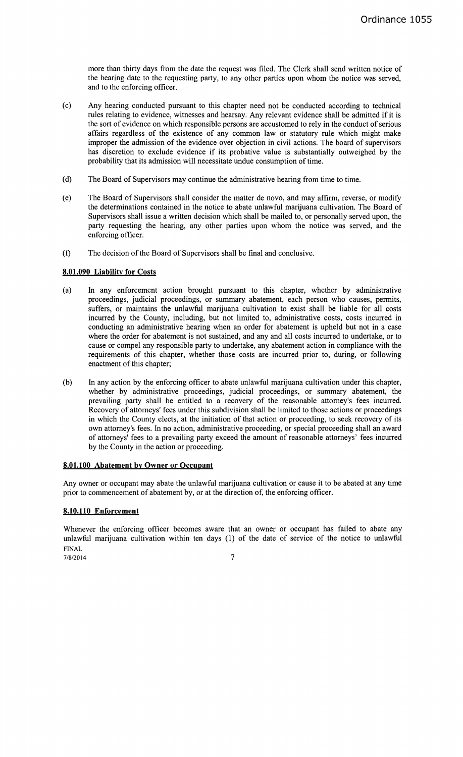more than thirty days from the date the request was filed. The Clerk shall send written notice of the hearing date to the requesting party, to any other parties upon whom the notice was served, and to the enforcing officer.

- (c) Any hearing conducted pursuant to this chapter need not be conducted according to technical rules relating to evidence, witnesses and hearsay. Any relevant evidence shall be admitted if it is the sort of evidence on which responsible persons are accustomed to rely in the conduct of serious affairs regardless of the existence of any common law or statutory rule which might make improper the admission of the evidence over objection in civil actions. The board of supervisors has discretion to exclude evidence if its probative value is substantially outweighed by the probability that its admission will necessitate undue consumption of time.
- (d) The Board of Supervisors may continue the administrative hearing from time to time.
- (e) The Board of Supervisors shall consider the matter de novo, and may affinn, reverse, or modify the detenninations contained in the notice to abate unlawful marijuana cultivation. The Board of Supervisors shall issue a written decision which shall be mailed to, or personally served upon, the party requesting the hearing, any other parties upon whom the notice was served, and the enforcing officer.
- (f) The decision of the Board of Supervisors shall be final and conclusive.

# 8.01.090 Liability for Costs

- (a) In any enforcement action brought pursuant to this chapter, whether by administrative proceedings, judicial proceedings, or summary abatement, each person who causes, pennits, suffers, or maintains the unlawful marijuana cultivation to exist shall be liable for all costs incurred by the County, including, but not limited to, administrative costs, costs incurred in conducting an administrative hearing when an order for abatement is upheld but not in a case where the order for abatement is not sustained, and any and all costs incurred to undertake, or to cause or compel any responsible party to undertake, any abatement action in compliance with the requirements of this chapter, whether those costs are incurred prior to, during, or following enactment of this chapter;
- (b) In any action by the enforcing officer to abate unlawful marijuana cultivation under this chapter, whether by administrative proceedings, judicial proceedings, or summary abatement, the prevailing party shall be entitled to a recovery of the reasonable attorney's fees incurred. Recovery of attorneys' fees under this subdivision shall be limited to those actions or proceedings in which the County elects, at the initiation of that action or proceeding, to seek recovery of its own attorney's fees. In no action, administrative proceeding, or special proceeding shall an award of attorneys' fees to a prevailing party exceed the amount of reasonable attorneys' fees incurred by the County in the action or proceeding.

# 8.01.100 Abatement by Owner or Occupant

Any owner or occupant may abate the unlawful marijuana cultivation or cause it to be abated at any time prior to commencement of abatement by, or at the direction of, the enforcing officer.

#### 8.10.110 Enforcement

Whenever the enforcing officer becomes aware that an owner or occupant has failed to abate any unlawful marijuana cultivation within ten days (1) of the date of service of the notice to unlawful FINAL

 $7/8/2014$   $7$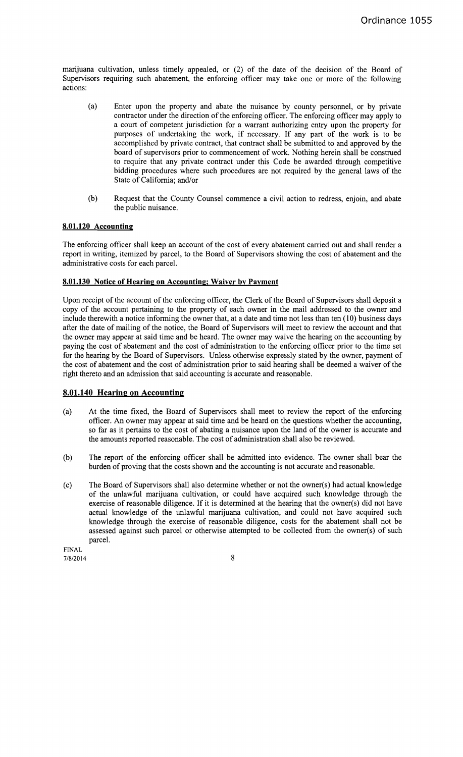marijuana cultivation, unless timely appealed, or (2) of the date of the decision of the Board of Supervisors requiring such abatement, the enforcing officer may take one or more of the following actions:

- (a) Enter upon the property and abate the nuisance by county personnel, or by private contractor under the direction of the enforcing officer. The enforcing officer may apply to a court of competent jurisdiction for a warrant authorizing entry upon the property for purposes of undertaking the work, if necessary. If any part of the work is to be accomplished by private contract, that contract shall be submitted to and approved by the board of supervisors prior to commencement of work. Nothing herein shall be construed to require that any private contract under this Code be awarded through competitive bidding procedures where such procedures are not required by the general laws of the State of California; and/or
- (b) Request that the County Counsel commence a civil action to redress, enjoin, and abate the public nuisance.

# **8.01.120 Accounting**

The enforcing officer shall keep an account of the cost of every abatement carried out and shall render a report in writing, itemized by parcel, to the Board of Supervisors showing the cost of abatement and the administrative costs for each parcel.

# **8.01.130 Notice of Hearing on Accounting; Waiver by Payment**

Upon receipt of the account of the enforcing officer, the Clerk of the Board of Supervisors shall deposit a copy of the account pertaining to the property of each owner in the mail addressed to the owner and include therewith a notice informing the owner that, at a date and time not less than ten (10) business days after the date of mailing of the notice, the Board of Supervisors will meet to review the account and that the owner may appear at said time and be heard. The owner may waive the hearing on the accounting by paying the cost of abatement and the cost of administration to the enforcing officer prior to the time set for the hearing by the Board of Supervisors. Unless otherwise expressly stated by the owner, payment of the cost of abatement and the cost of administration prior to said hearing shall be deemed a waiver of the right thereto and an admission that said accounting is accurate and reasonable.

# **8.01.140 Hearing on Accounting**

- (a) At the time fixed, the Board of Supervisors shall meet to review the report of the enforcing officer. An owner may appear at said time and be heard on the questions whether the accounting, so far as it pertains to the cost of abating a nuisance upon the land of the owner is accurate and the amounts reported reasonable. The cost of administration shall also be reviewed.
- (b) The report of the enforcing officer shall be admitted into evidence. The owner shall bear the burden of proving that the costs shown and the accounting is not accurate and reasonable.
- (c) The Board of Supervisors shall also determine whether or not the owner(s) had actual knowledge of the unlawful marijuana cultivation, or could have acquired such knowledge through the exercise of reasonable diligence. If it is determined at the hearing that the owner(s) did not have actual knowledge of the unlawful marijuana cultivation, and could not have acquired such knowledge through the exercise of reasonable diligence, costs for the abatement shall not be assessed against such parcel or otherwise attempted to be collected from the owner(s) of such parcel.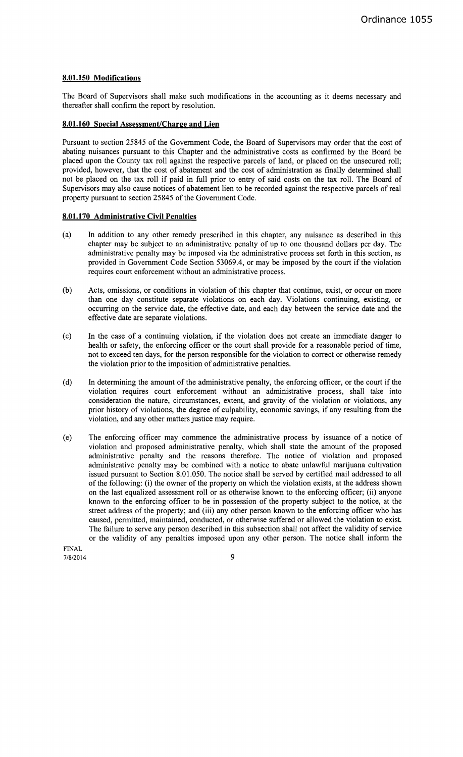#### **8.01.150 Modifications**

The Board of Supervisors shall make such modifications in the accounting as it deems necessary and thereafter shall confirm the report by resolution.

### **8.01.160 Special Assessment/Charge and Lien**

Pursuant to section 25845 of the Government Code, the Board of Supervisors may order that the cost of abating nuisances pursuant to this Chapter and the administrative costs as confirmed by the Board be placed upon the County tax roll against the respective parcels of land, or placed on the unsecured roll; provided, however, that the cost of abatement and the cost of administration as finally determined shall not be placed on the tax roll if paid in full prior to entry of said costs on the tax roll. The Board of Supervisors may also cause notices of abatement lien to be recorded against the respective parcels of real property pursuant to section 25845 of the Government Code.

# **8.01.170 Administrative Civil Penalties**

- (a) In addition to any other remedy prescribed in this chapter, any nuisance as described in this chapter may be subject to an administrative penalty of up to one thousand dollars per day. The administrative penalty may be imposed via the administrative process set forth in this section, as provided in Government Code Section 53069.4, or may be imposed by the court if the violation requires court enforcement without an administrative process.
- (b) Acts, omissions, or conditions in violation of this chapter that continue, exist, or occur on more than one day constitute separate violations on each day. Violations continuing, existing, or occurring on the service date, the effective date, and each day between the service date and the effective date are separate violations.
- (c) In the case of a continuing violation, if the violation does not create an immediate danger to health or safety, the enforcing officer or the court shall provide for a reasonable period of time, not to exceed ten days, for the person responsible for the violation to correct or otherwise remedy the violation prior to the imposition of administrative penalties.
- (d) In determining the amount of the administrative penalty, the enforcing officer, or the court if the violation requires court enforcement without an administrative process, shall take into consideration the nature, circumstances, extent, and gravity of the violation or violations, any prior history of violations, the degree of culpability, economic savings, if any resulting from the violation, and any other matters justice may require.
- (e) The enforcing officer may commence the administrative process by issuance of a notice of violation and proposed administrative penalty, which shall state the amount of the proposed administrative penalty and the reasons therefore. The notice of violation and proposed administrative penalty may be combined with a notice to abate unlawful marijuana cultivation issued pursuant to Section 8.01.050. The notice shall be served by certified mail addressed to all of the following: (i) the owner of the property on which the violation exists, at the address shown on the last equalized assessment roll or as otherwise known to the enforcing officer; (ii) anyone known to the enforcing officer to be in possession of the property subject to the notice, at the street address of the property; and (iii) any other person known to the enforcing officer who has caused, permitted, maintained, conducted, or otherwise suffered or allowed the violation to exist. The failure to serve any person described in this subsection shall not affect the validity of service or the validity of any penalties imposed upon any other person. The notice shall inform the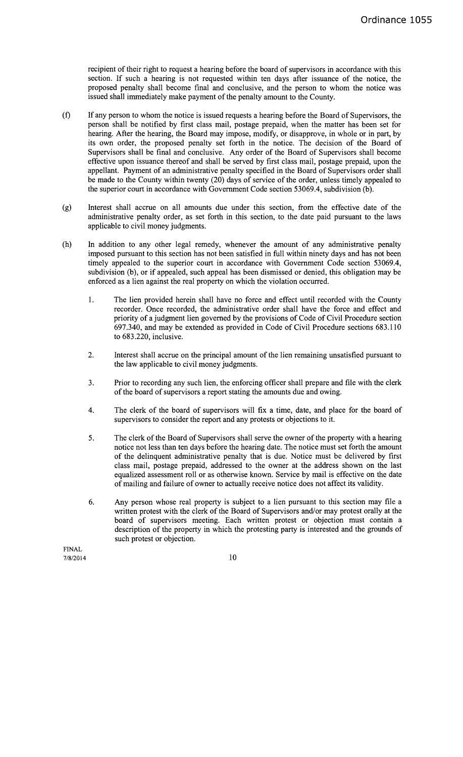recipient of their right to request a hearing before the board of supervisors in accordance with this section. If such a hearing is not requested within ten days after issuance of the notice, the proposed penalty shall become final and conclusive, and the person to whom the notice was issued shall immediately make payment of the penalty amount to the County.

- (f) If any person to whom the notice is issued requests a hearing before the Board of Supervisors, the person shall be notified by first class mail, postage prepaid, when the matter has been set for hearing. After the hearing, the Board may impose, modify, or disapprove, in whole or in part, by its own order, the proposed penalty set forth in the notice. The decision of the Board of Supervisors shall be final and conclusive. Any order of the Board of Supervisors shall become effective upon issuance thereof and shall be served by first class mail, postage prepaid, upon the appellant. Payment of an administrative penalty specified in the Board of Supervisors order shall be made to the County within twenty (20) days of service of the order, unless timely appealed to the superior court in accordance with Government Code section 53069.4, subdivision (b).
- (g) Interest shall accrue on all amounts due under this section, from the effective date of the administrative penalty order, as set forth in this section, to the date paid pursuant to the laws applicable to civil money judgments.
- (h) In addition to any other legal remedy, whenever the amount of any administrative penalty imposed pursuant to this section has not been satisfied in full within ninety days and has not been timely appealed to the superior court in accordance with Government Code section 53069.4, subdivision (b), or if appealed, such appeal has been dismissed or denied, this obligation may be enforced as a lien against the real property on which the violation occurred.
	- 1. The lien provided herein shall have no force and effect until recorded with the County recorder. Once recorded, the administrative order shall have the force and effect and priority of a judgment lien governed by the provisions of Code of Civil Procedure section 697.340, and may be extended as provided in Code of Civil Procedure sections 683.110 to 683.220, inclusive.
	- 2. Interest shall accrue on the principal amount of the lien remaining unsatisfied pursuant to the law applicable to civil money judgments.
	- 3. Prior to recording any such lien, the enforcing officer shall prepare and file with the clerk of the board of supervisors a report stating the amounts due and owing.
	- 4. The clerk of the board of supervisors will fix a time, date, and place for the board of supervisors to consider the report and any protests or objections to it.
	- 5. The clerk of the Board of Supervisors shall serve the owner of the property with a hearing notice not less than ten days before the hearing date. The notice must set forth the amount of the delinquent administrative penalty that is due. Notice must be delivered by first class mail, postage prepaid, addressed to the owner at the address shown on the last equalized assessment roll or as otherwise known. Service by mail is effective on the date of mailing and failure of owner to actually receive notice does not affect its validity.
	- 6. Any person whose real property is subject to a lien pursuant to this section may file a written protest with the clerk of the Board of Supervisors and/or may protest orally at the board of supervisors meeting. Each written protest or objection must contain a description of the property in which the protesting party is interested and the grounds of such protest or objection.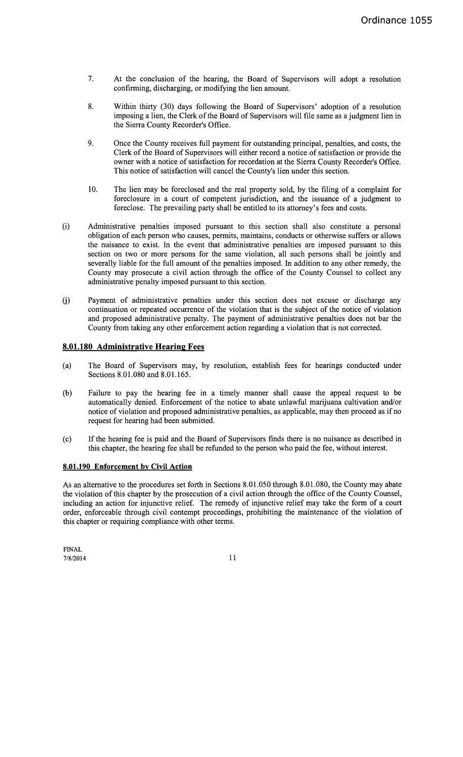- 7. At the conclusion of the hearing, the Board of Supervisors will adopt a resolution confirming, discharging, or modifying the lien amount.
- 8. Within thirty (30) days following the Board of Supervisors' adoption of a resolution imposing a lien, the Clerk of the Board of Supervisors will file same as a judgment lien in the Sierra County Recorder's Office.
- 9. Once the County receives full payment for outstanding principal, penalties, and costs, the Clerk of the Board of Supervisors will either record a notice of satisfaction or provide the owner with a notice of satisfaction for recordation at the Sierra County Recorder's Office. This notice of satisfaction will cancel the County's lien under this section.
- 10. The lien may be foreclosed and the real property sold, by the filing of a complaint for foreclosure in a court of competent jurisdiction, and the issuance of a judgment to foreclose. The prevailing party shall be entitled to its attorney's fees and costs.
- (i) Administrative penalties imposed pursuant to this section shall also constitute a personal obligation of each person who causes, pennits, maintains, conducts or otherwise suffers or allows the nuisance to exist. In the event that administrative penalties are imposed pursuant to this section on two or more persons for the same violation, all such persons shall be jointly and severally liable for the full amount of the penalties imposed. In addition to any other remedy, the County may prosecute a civil action through the office of the County Counsel to collect any administrative penalty imposed pursuant to this section.
- U) Payment of administrative penalties under this section does not excuse or discharge any continuation or repeated occurrence of the violation that is the subject of the notice of violation and proposed administrative penalty. The payment of administrative penalties does not bar the County from taking any other enforcement action regarding a violation that is not corrected.

# 8.01.180 Administrative Hearing Fees

- (a) The Board of Supervisors may, by resolution, establish fees for hearings conducted under Sections 8.01.080 and 8.01.165.
- (b) Failure to pay the hearing fee in a timely manner shall cause the appeal request to be automatically denied. Enforcement of the notice to abate unlawful marijuana cultivation and/or notice of violation and proposed administrative penalties, as applicable, may then proceed as if no request for hearing had been submitted.
- (c) Ifthe hearing fee is paid and the Board of Supervisors finds there is no nuisance as described in this chapter, the hearing fee shall be refunded to the person who paid the fee, without interest.

#### 8.01.190 Enforcement by Civil Action

As an alternative to the procedures set forth in Sections 8.01.050 through 8.01.080, the County may abate the violation of this chapter by the prosecution of a civil action through the office of the County Counsel, including an action for injunctive relief. The remedy of injunctive relief may take the fonn of a court order, enforceable through civil contempt proceedings, prohibiting the maintenance of the violation of this chapter or requiring compliance with other terms.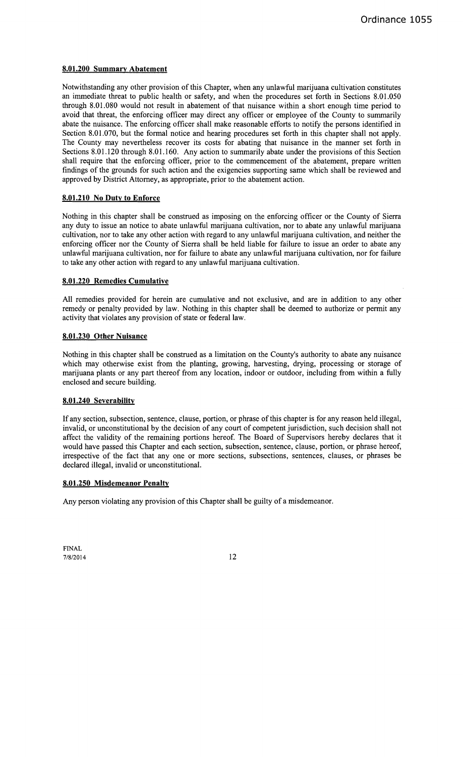# **8.01.200 Summary Abatement**

Notwithstanding any other provision of this Chapter, when any unlawful marijuana cultivation constitutes an immediate threat to public health or safety, and when the procedures set forth in Sections 8.01.050 through 8.01.080 would not result in abatement of that nuisance within a short enough time period to avoid that threat, the enforcing officer may direct any officer or employee of the County to summarily abate the nuisance. The enforcing officer shall make reasonable efforts to notify the persons identified in Section 8.01.070, but the formal notice and hearing procedures set forth in this chapter shall not apply. The County may nevertheless recover its costs for abating that nuisance in the manner set forth in Sections 8.01.120 through 8.01.160. Any action to summarily abate under the provisions of this Section shall require that the enforcing officer, prior to the commencement of the abatement, prepare written findings of the grounds for such action and the exigencies supporting same which shall be reviewed and approved by District Attorney, as appropriate, prior to the abatement action.

# **8.01.210 No Duty to Enforce**

Nothing in this chapter shall be construed as imposing on the enforcing officer or the County of Sierra any duty to issue an notice to abate unlawful marijuana cultivation, nor to abate any unlawful marijuana cultivation, nor to take any other action with regard to any unlawful marijuana cultivation, and neither the enforcing officer nor the County of Sierra shall be held liable for failure to issue an order to abate any unlawful marijuana cultivation, nor for failure to abate any unlawful marijuana cultivation, nor for failure to take any other action with regard to any unlawful marijuana cultivation.

# **8.01.220 Remedies Cumulative**

All remedies provided for herein are cumulative and not exclusive, and are in addition to any other remedy or penalty provided by law. Nothing in this chapter shall be deemed to authorize or permit any activity that violates any provision of state or federal law.

# **8.01.230 Other Nuisance**

Nothing in this chapter shall be construed as a limitation on the County's authority to abate any nuisance which may otherwise exist from the planting, growing, harvesting, drying, processing or storage of marijuana plants or any part thereof from any location, indoor or outdoor, including from within a fully enclosed and secure building.

#### **8.01.240 Severability**

If any section, subsection, sentence, clause, portion, or phrase of this chapter is for any reason held illegal, invalid, or unconstitutional by the decision of any court of competent jurisdiction, such decision shall not affect the validity of the remaining portions hereof. The Board of Supervisors hereby declares that it would have passed this Chapter and each section, subsection, sentence, clause, portion, or phrase hereof, irrespective of the fact that anyone or more sections, subsections, sentences, clauses, or phrases be declared illegal, invalid or unconstitutional.

#### **8.01.250 Misdemeanor Penalty**

Any person violating any provision of this Chapter shall be guilty of a misdemeanor.